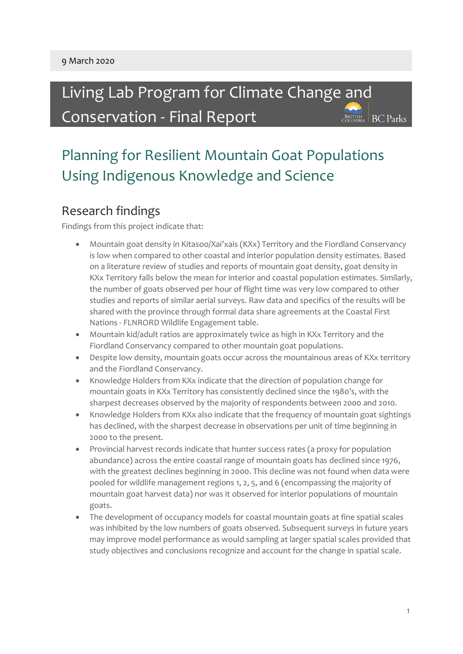Living Lab Program for Climate Change and Conservation - Final Report BRITISH BC Parks

# Planning for Resilient Mountain Goat Populations Using Indigenous Knowledge and Science

#### Research findings

Findings from this project indicate that:

- Mountain goat density in Kitasoo/Xai'xais (KXx) Territory and the Fiordland Conservancy is low when compared to other coastal and interior population density estimates. Based on a literature review of studies and reports of mountain goat density, goat density in KXx Territory falls below the mean for interior and coastal population estimates. Similarly, the number of goats observed per hour of flight time was very low compared to other studies and reports of similar aerial surveys. Raw data and specifics of the results will be shared with the province through formal data share agreements at the Coastal First Nations - FLNRORD Wildlife Engagement table.
- Mountain kid/adult ratios are approximately twice as high in KXx Territory and the Fiordland Conservancy compared to other mountain goat populations.
- Despite low density, mountain goats occur across the mountainous areas of KXx territory and the Fiordland Conservancy.
- Knowledge Holders from KXx indicate that the direction of population change for mountain goats in KXx Territory has consistently declined since the 1980's, with the sharpest decreases observed by the majority of respondents between 2000 and 2010.
- Knowledge Holders from KXx also indicate that the frequency of mountain goat sightings has declined, with the sharpest decrease in observations per unit of time beginning in 2000 to the present.
- Provincial harvest records indicate that hunter success rates (a proxy for population abundance) across the entire coastal range of mountain goats has declined since 1976, with the greatest declines beginning in 2000. This decline was not found when data were pooled for wildlife management regions 1, 2, 5, and 6 (encompassing the majority of mountain goat harvest data) nor was it observed for interior populations of mountain goats.
- The development of occupancy models for coastal mountain goats at fine spatial scales was inhibited by the low numbers of goats observed. Subsequent surveys in future years may improve model performance as would sampling at larger spatial scales provided that study objectives and conclusions recognize and account for the change in spatial scale.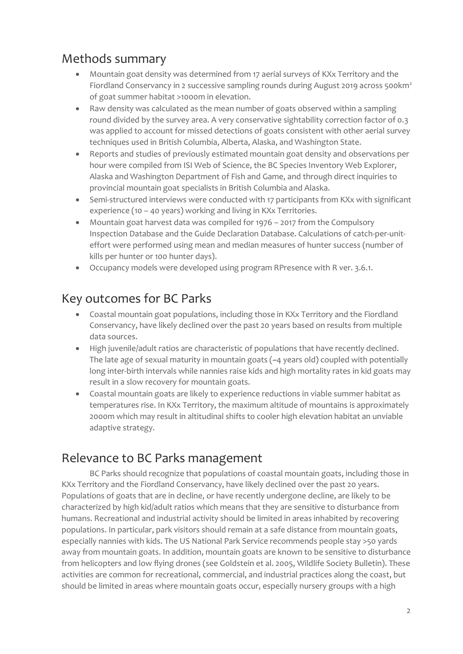### Methods summary

- Mountain goat density was determined from 17 aerial surveys of KXx Territory and the Fiordland Conservancy in 2 successive sampling rounds during August 2019 across 500km<sup>2</sup> of goat summer habitat >1000m in elevation.
- Raw density was calculated as the mean number of goats observed within a sampling round divided by the survey area. A very conservative sightability correction factor of 0.3 was applied to account for missed detections of goats consistent with other aerial survey techniques used in British Columbia, Alberta, Alaska, and Washington State.
- Reports and studies of previously estimated mountain goat density and observations per hour were compiled from ISI Web of Science, the BC Species Inventory Web Explorer, Alaska and Washington Department of Fish and Game, and through direct inquiries to provincial mountain goat specialists in British Columbia and Alaska.
- Semi-structured interviews were conducted with 17 participants from KXx with significant experience (10 – 40 years) working and living in KXx Territories.
- Mountain goat harvest data was compiled for 1976 2017 from the Compulsory Inspection Database and the Guide Declaration Database. Calculations of catch-per-uniteffort were performed using mean and median measures of hunter success (number of kills per hunter or 100 hunter days).
- Occupancy models were developed using program RPresence with R ver. 3.6.1.

#### Key outcomes for BC Parks

- Coastal mountain goat populations, including those in KXx Territory and the Fiordland Conservancy, have likely declined over the past 20 years based on results from multiple data sources.
- High juvenile/adult ratios are characteristic of populations that have recently declined. The late age of sexual maturity in mountain goats (~4 years old) coupled with potentially long inter-birth intervals while nannies raise kids and high mortality rates in kid goats may result in a slow recovery for mountain goats.
- Coastal mountain goats are likely to experience reductions in viable summer habitat as temperatures rise. In KXx Territory, the maximum altitude of mountains is approximately 2000m which may result in altitudinal shifts to cooler high elevation habitat an unviable adaptive strategy.

#### Relevance to BC Parks management

BC Parks should recognize that populations of coastal mountain goats, including those in KXx Territory and the Fiordland Conservancy, have likely declined over the past 20 years. Populations of goats that are in decline, or have recently undergone decline, are likely to be characterized by high kid/adult ratios which means that they are sensitive to disturbance from humans. Recreational and industrial activity should be limited in areas inhabited by recovering populations. In particular, park visitors should remain at a safe distance from mountain goats, especially nannies with kids. The US National Park Service recommends people stay >50 yards away from mountain goats. In addition, mountain goats are known to be sensitive to disturbance from helicopters and low flying drones (see Goldstein et al. 2005, Wildlife Society Bulletin). These activities are common for recreational, commercial, and industrial practices along the coast, but should be limited in areas where mountain goats occur, especially nursery groups with a high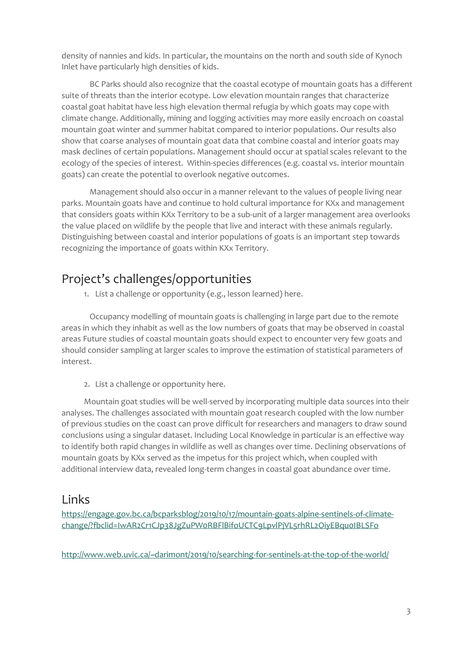density of nannies and kids. In particular, the mountains on the north and south side of Kynoch Inlet have particularly high densities of kids.

BC Parks should also recognize that the coastal ecotype of mountain goats has a different suite of threats than the interior ecotype. Low elevation mountain ranges that characterize coastal goat habitat have less high elevation thermal refugia by which goats may cope with climate change. Additionally, mining and logging activities may more easily encroach on coastal mountain goat winter and summer habitat compared to interior populations. Our results also show that coarse analyses of mountain goat data that combine coastal and interior goats may mask declines of certain populations. Management should occur at spatial scales relevant to the ecology of the species of interest. Within-species differences (e.g. coastal vs. interior mountain goats) can create the potential to overlook negative outcomes.

Management should also occur in a manner relevant to the values of people living near parks. Mountain goats have and continue to hold cultural importance for KXx and management that considers goats within KXx Territory to be a sub-unit of a larger management area overlooks the value placed on wildlife by the people that live and interact with these animals regularly. Distinguishing between coastal and interior populations of goats is an important step towards recognizing the importance of goats within KXx Territory.

#### Project's challenges/opportunities

1. List a challenge or opportunity (e.g., lesson learned) here.

Occupancy modelling of mountain goats is challenging in large part due to the remote areas in which they inhabit as well as the low numbers of goats that may be observed in coastal areas Future studies of coastal mountain goats should expect to encounter very few goats and should consider sampling at larger scales to improve the estimation of statistical parameters of interest.

2. List a challenge or opportunity here.

Mountain goat studies will be well-served by incorporating multiple data sources into their analyses. The challenges associated with mountain goat research coupled with the low number of previous studies on the coast can prove difficult for researchers and managers to draw sound conclusions using a singular dataset. Including Local Knowledge in particular is an effective way to identify both rapid changes in wildlife as well as changes over time. Declining observations of mountain goats by KXx served as the impetus for this project which, when coupled with additional interview data, revealed long-term changes in coastal goat abundance over time.

#### Links

[https://engage.gov.bc.ca/bcparksblog/2019/10/17/mountain-goats-alpine-sentinels-of-climate](https://engage.gov.bc.ca/bcparksblog/2019/10/17/mountain-goats-alpine-sentinels-of-climate-change/?fbclid=IwAR2Cr1CJp38JgZuPW0RBFlBifoUCTC9LpvlPjVL5rhRL2OiyEBqu0IBLSFo)[change/?fbclid=IwAR2Cr1CJp38JgZuPW0RBFlBifoUCTC9LpvlPjVL5rhRL2OiyEBqu0IBLSFo](https://engage.gov.bc.ca/bcparksblog/2019/10/17/mountain-goats-alpine-sentinels-of-climate-change/?fbclid=IwAR2Cr1CJp38JgZuPW0RBFlBifoUCTC9LpvlPjVL5rhRL2OiyEBqu0IBLSFo)

<http://www.web.uvic.ca/~darimont/2019/10/searching-for-sentinels-at-the-top-of-the-world/>